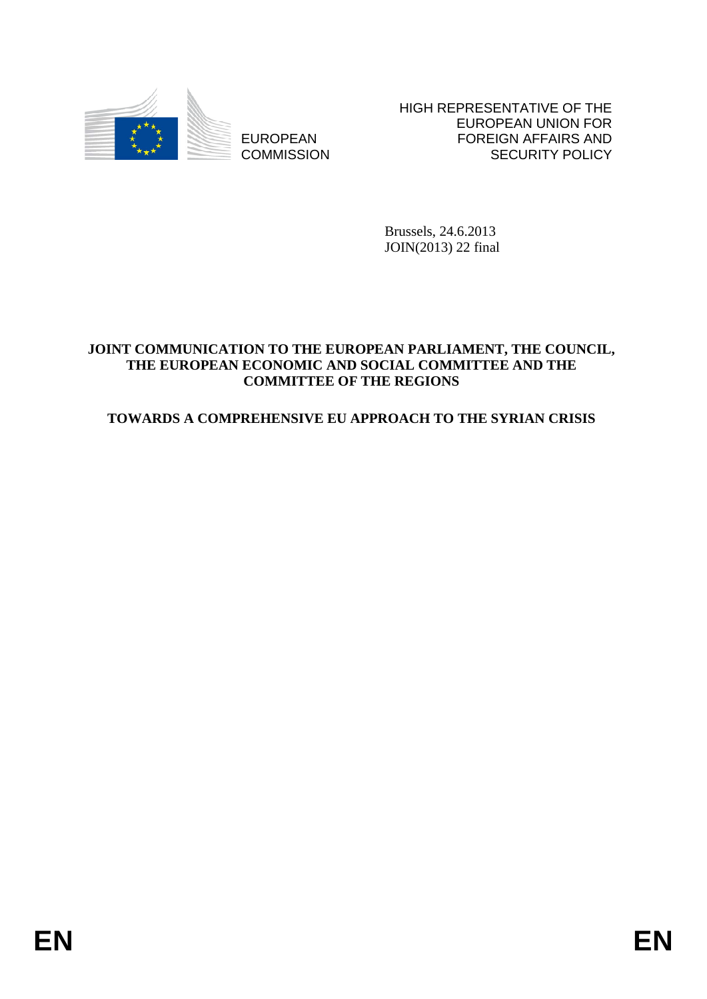

EUROPEAN **COMMISSION**  HIGH REPRESENTATIVE OF THE EUROPEAN UNION FOR FOREIGN AFFAIRS AND SECURITY POLICY

Brussels, 24.6.2013 JOIN(2013) 22 final

#### **JOINT COMMUNICATION TO THE EUROPEAN PARLIAMENT, THE COUNCIL, THE EUROPEAN ECONOMIC AND SOCIAL COMMITTEE AND THE COMMITTEE OF THE REGIONS**

# **TOWARDS A COMPREHENSIVE EU APPROACH TO THE SYRIAN CRISIS**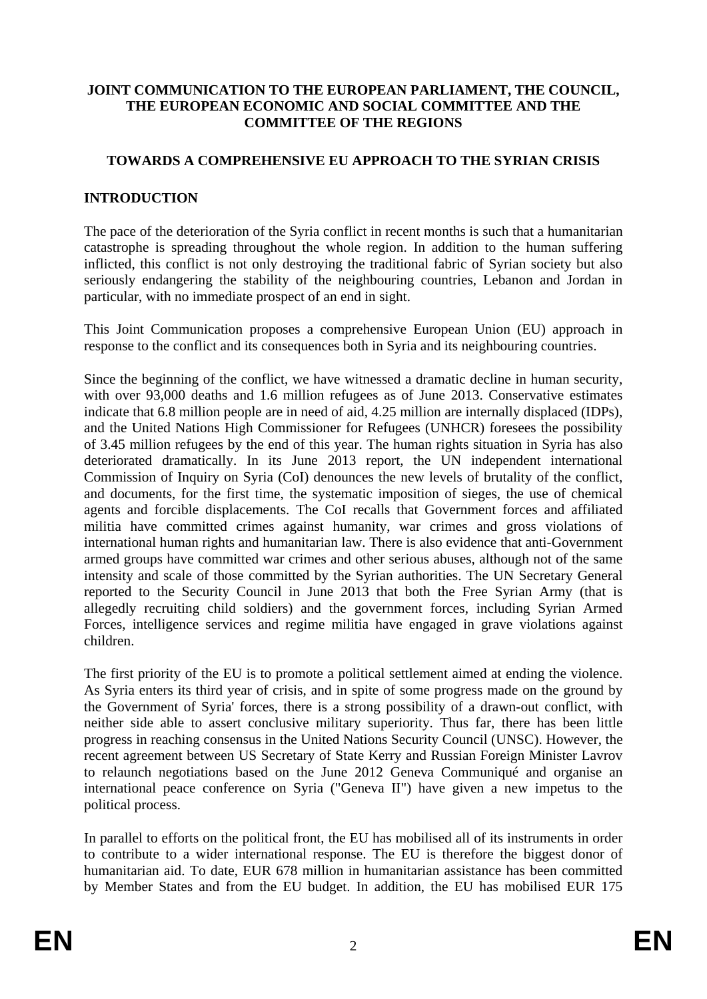#### **JOINT COMMUNICATION TO THE EUROPEAN PARLIAMENT, THE COUNCIL, THE EUROPEAN ECONOMIC AND SOCIAL COMMITTEE AND THE COMMITTEE OF THE REGIONS**

### **TOWARDS A COMPREHENSIVE EU APPROACH TO THE SYRIAN CRISIS**

#### **INTRODUCTION**

The pace of the deterioration of the Syria conflict in recent months is such that a humanitarian catastrophe is spreading throughout the whole region. In addition to the human suffering inflicted, this conflict is not only destroying the traditional fabric of Syrian society but also seriously endangering the stability of the neighbouring countries, Lebanon and Jordan in particular, with no immediate prospect of an end in sight.

This Joint Communication proposes a comprehensive European Union (EU) approach in response to the conflict and its consequences both in Syria and its neighbouring countries.

Since the beginning of the conflict, we have witnessed a dramatic decline in human security, with over 93,000 deaths and 1.6 million refugees as of June 2013. Conservative estimates indicate that 6.8 million people are in need of aid, 4.25 million are internally displaced (IDPs), and the United Nations High Commissioner for Refugees (UNHCR) foresees the possibility of 3.45 million refugees by the end of this year. The human rights situation in Syria has also deteriorated dramatically. In its June 2013 report, the UN independent international Commission of Inquiry on Syria (CoI) denounces the new levels of brutality of the conflict, and documents, for the first time, the systematic imposition of sieges, the use of chemical agents and forcible displacements. The CoI recalls that Government forces and affiliated militia have committed crimes against humanity, war crimes and gross violations of international human rights and humanitarian law. There is also evidence that anti-Government armed groups have committed war crimes and other serious abuses, although not of the same intensity and scale of those committed by the Syrian authorities. The UN Secretary General reported to the Security Council in June 2013 that both the Free Syrian Army (that is allegedly recruiting child soldiers) and the government forces, including Syrian Armed Forces, intelligence services and regime militia have engaged in grave violations against children.

The first priority of the EU is to promote a political settlement aimed at ending the violence. As Syria enters its third year of crisis, and in spite of some progress made on the ground by the Government of Syria' forces, there is a strong possibility of a drawn-out conflict, with neither side able to assert conclusive military superiority. Thus far, there has been little progress in reaching consensus in the United Nations Security Council (UNSC). However, the recent agreement between US Secretary of State Kerry and Russian Foreign Minister Lavrov to relaunch negotiations based on the June 2012 Geneva Communiqué and organise an international peace conference on Syria ("Geneva II") have given a new impetus to the political process.

In parallel to efforts on the political front, the EU has mobilised all of its instruments in order to contribute to a wider international response. The EU is therefore the biggest donor of humanitarian aid. To date, EUR 678 million in humanitarian assistance has been committed by Member States and from the EU budget. In addition, the EU has mobilised EUR 175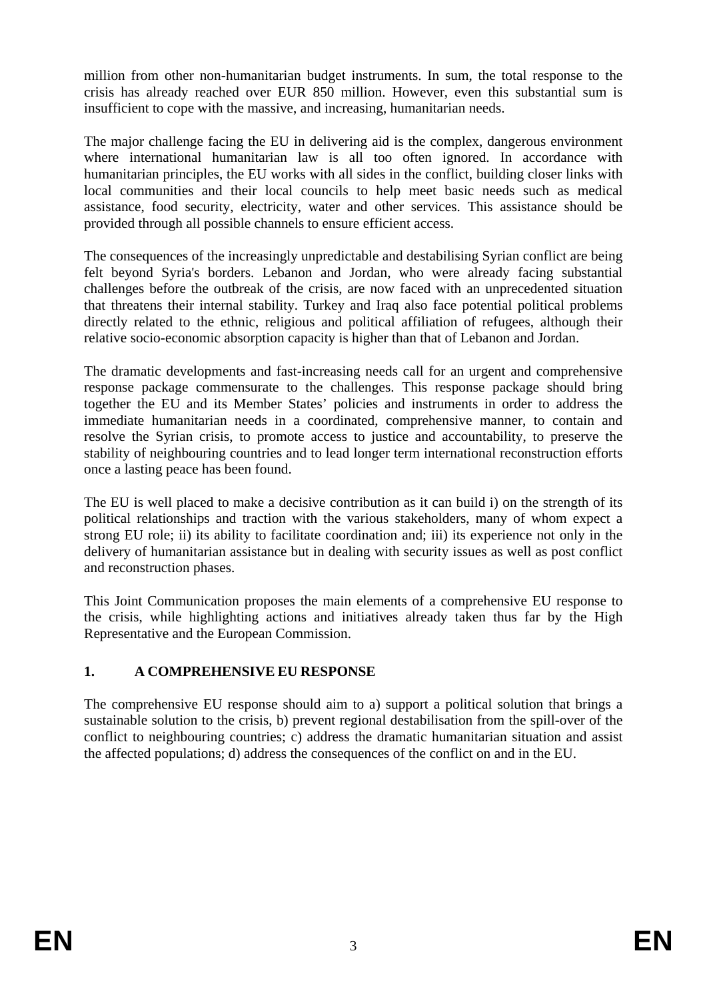million from other non-humanitarian budget instruments. In sum, the total response to the crisis has already reached over EUR 850 million. However, even this substantial sum is insufficient to cope with the massive, and increasing, humanitarian needs.

The major challenge facing the EU in delivering aid is the complex, dangerous environment where international humanitarian law is all too often ignored. In accordance with humanitarian principles, the EU works with all sides in the conflict, building closer links with local communities and their local councils to help meet basic needs such as medical assistance, food security, electricity, water and other services. This assistance should be provided through all possible channels to ensure efficient access.

The consequences of the increasingly unpredictable and destabilising Syrian conflict are being felt beyond Syria's borders. Lebanon and Jordan, who were already facing substantial challenges before the outbreak of the crisis, are now faced with an unprecedented situation that threatens their internal stability. Turkey and Iraq also face potential political problems directly related to the ethnic, religious and political affiliation of refugees, although their relative socio-economic absorption capacity is higher than that of Lebanon and Jordan.

The dramatic developments and fast-increasing needs call for an urgent and comprehensive response package commensurate to the challenges. This response package should bring together the EU and its Member States' policies and instruments in order to address the immediate humanitarian needs in a coordinated, comprehensive manner, to contain and resolve the Syrian crisis, to promote access to justice and accountability, to preserve the stability of neighbouring countries and to lead longer term international reconstruction efforts once a lasting peace has been found.

The EU is well placed to make a decisive contribution as it can build i) on the strength of its political relationships and traction with the various stakeholders, many of whom expect a strong EU role; ii) its ability to facilitate coordination and; iii) its experience not only in the delivery of humanitarian assistance but in dealing with security issues as well as post conflict and reconstruction phases.

This Joint Communication proposes the main elements of a comprehensive EU response to the crisis, while highlighting actions and initiatives already taken thus far by the High Representative and the European Commission.

### **1. A COMPREHENSIVE EU RESPONSE**

The comprehensive EU response should aim to a) support a political solution that brings a sustainable solution to the crisis, b) prevent regional destabilisation from the spill-over of the conflict to neighbouring countries; c) address the dramatic humanitarian situation and assist the affected populations; d) address the consequences of the conflict on and in the EU.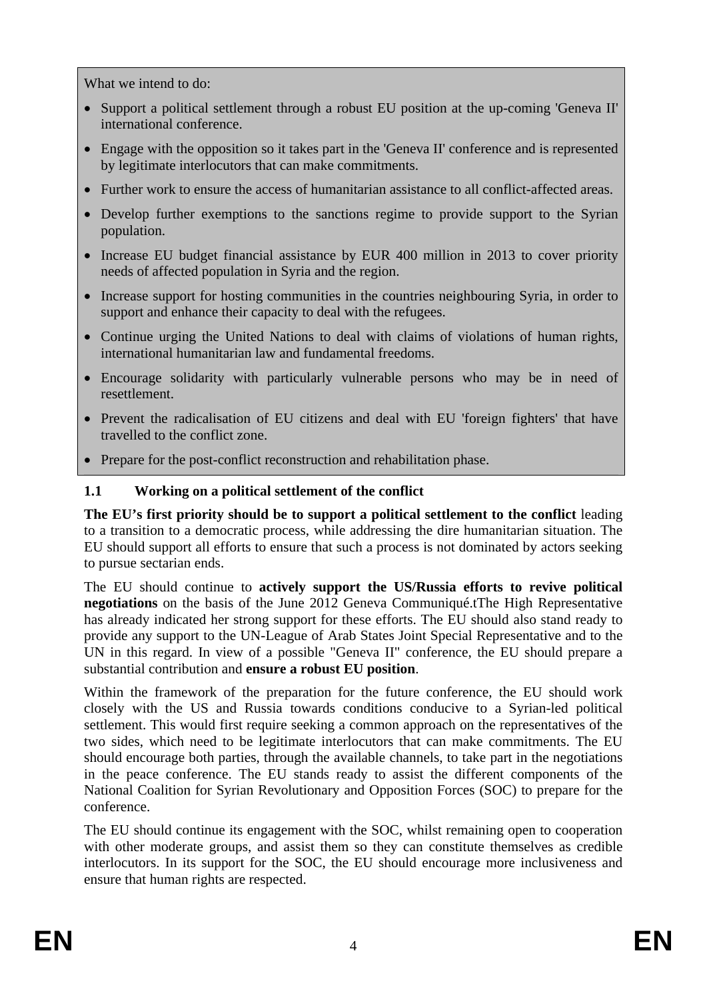What we intend to do:

- Support a political settlement through a robust EU position at the up-coming 'Geneva II' international conference.
- Engage with the opposition so it takes part in the 'Geneva II' conference and is represented by legitimate interlocutors that can make commitments.
- Further work to ensure the access of humanitarian assistance to all conflict-affected areas.
- Develop further exemptions to the sanctions regime to provide support to the Syrian population.
- Increase EU budget financial assistance by EUR 400 million in 2013 to cover priority needs of affected population in Syria and the region.
- Increase support for hosting communities in the countries neighbouring Syria, in order to support and enhance their capacity to deal with the refugees.
- Continue urging the United Nations to deal with claims of violations of human rights, international humanitarian law and fundamental freedoms.
- Encourage solidarity with particularly vulnerable persons who may be in need of resettlement.
- Prevent the radicalisation of EU citizens and deal with EU 'foreign fighters' that have travelled to the conflict zone.
- Prepare for the post-conflict reconstruction and rehabilitation phase.

# **1.1 Working on a political settlement of the conflict**

**The EU's first priority should be to support a political settlement to the conflict** leading to a transition to a democratic process, while addressing the dire humanitarian situation. The EU should support all efforts to ensure that such a process is not dominated by actors seeking to pursue sectarian ends.

The EU should continue to **actively support the US/Russia efforts to revive political negotiations** on the basis of the June 2012 Geneva Communiqué.tThe High Representative has already indicated her strong support for these efforts. The EU should also stand ready to provide any support to the UN-League of Arab States Joint Special Representative and to the UN in this regard. In view of a possible "Geneva II" conference, the EU should prepare a substantial contribution and **ensure a robust EU position**.

Within the framework of the preparation for the future conference, the EU should work closely with the US and Russia towards conditions conducive to a Syrian-led political settlement. This would first require seeking a common approach on the representatives of the two sides, which need to be legitimate interlocutors that can make commitments. The EU should encourage both parties, through the available channels, to take part in the negotiations in the peace conference. The EU stands ready to assist the different components of the National Coalition for Syrian Revolutionary and Opposition Forces (SOC) to prepare for the conference.

The EU should continue its engagement with the SOC, whilst remaining open to cooperation with other moderate groups, and assist them so they can constitute themselves as credible interlocutors. In its support for the SOC, the EU should encourage more inclusiveness and ensure that human rights are respected.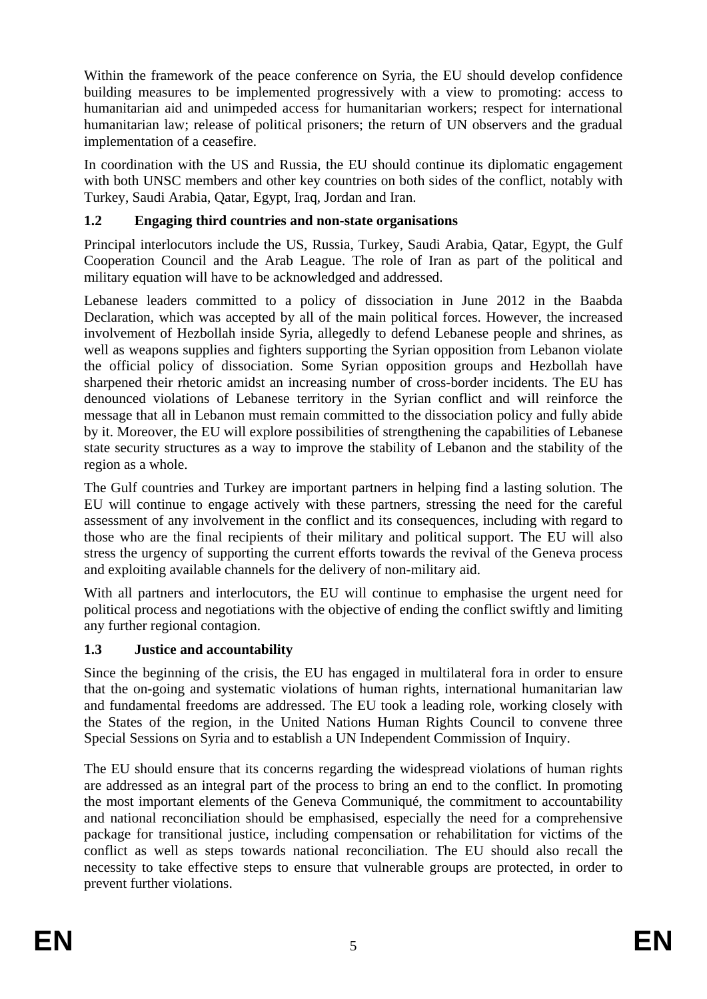Within the framework of the peace conference on Syria, the EU should develop confidence building measures to be implemented progressively with a view to promoting: access to humanitarian aid and unimpeded access for humanitarian workers; respect for international humanitarian law; release of political prisoners; the return of UN observers and the gradual implementation of a ceasefire.

In coordination with the US and Russia, the EU should continue its diplomatic engagement with both UNSC members and other key countries on both sides of the conflict, notably with Turkey, Saudi Arabia, Qatar, Egypt, Iraq, Jordan and Iran.

# **1.2 Engaging third countries and non-state organisations**

Principal interlocutors include the US, Russia, Turkey, Saudi Arabia, Qatar, Egypt, the Gulf Cooperation Council and the Arab League. The role of Iran as part of the political and military equation will have to be acknowledged and addressed.

Lebanese leaders committed to a policy of dissociation in June 2012 in the Baabda Declaration, which was accepted by all of the main political forces. However, the increased involvement of Hezbollah inside Syria, allegedly to defend Lebanese people and shrines, as well as weapons supplies and fighters supporting the Syrian opposition from Lebanon violate the official policy of dissociation. Some Syrian opposition groups and Hezbollah have sharpened their rhetoric amidst an increasing number of cross-border incidents. The EU has denounced violations of Lebanese territory in the Syrian conflict and will reinforce the message that all in Lebanon must remain committed to the dissociation policy and fully abide by it. Moreover, the EU will explore possibilities of strengthening the capabilities of Lebanese state security structures as a way to improve the stability of Lebanon and the stability of the region as a whole.

The Gulf countries and Turkey are important partners in helping find a lasting solution. The EU will continue to engage actively with these partners, stressing the need for the careful assessment of any involvement in the conflict and its consequences, including with regard to those who are the final recipients of their military and political support. The EU will also stress the urgency of supporting the current efforts towards the revival of the Geneva process and exploiting available channels for the delivery of non-military aid.

With all partners and interlocutors, the EU will continue to emphasise the urgent need for political process and negotiations with the objective of ending the conflict swiftly and limiting any further regional contagion.

# **1.3 Justice and accountability**

Since the beginning of the crisis, the EU has engaged in multilateral fora in order to ensure that the on-going and systematic violations of human rights, international humanitarian law and fundamental freedoms are addressed. The EU took a leading role, working closely with the States of the region, in the United Nations Human Rights Council to convene three Special Sessions on Syria and to establish a UN Independent Commission of Inquiry.

The EU should ensure that its concerns regarding the widespread violations of human rights are addressed as an integral part of the process to bring an end to the conflict. In promoting the most important elements of the Geneva Communiqué, the commitment to accountability and national reconciliation should be emphasised, especially the need for a comprehensive package for transitional justice, including compensation or rehabilitation for victims of the conflict as well as steps towards national reconciliation. The EU should also recall the necessity to take effective steps to ensure that vulnerable groups are protected, in order to prevent further violations.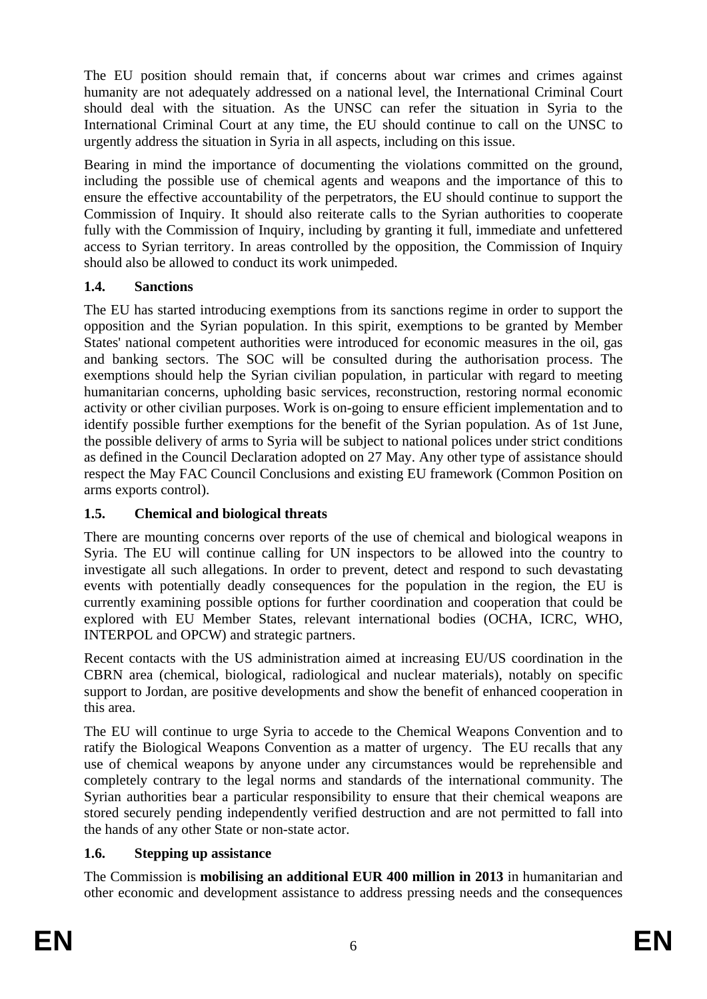The EU position should remain that, if concerns about war crimes and crimes against humanity are not adequately addressed on a national level, the International Criminal Court should deal with the situation. As the UNSC can refer the situation in Syria to the International Criminal Court at any time, the EU should continue to call on the UNSC to urgently address the situation in Syria in all aspects, including on this issue.

Bearing in mind the importance of documenting the violations committed on the ground, including the possible use of chemical agents and weapons and the importance of this to ensure the effective accountability of the perpetrators, the EU should continue to support the Commission of Inquiry. It should also reiterate calls to the Syrian authorities to cooperate fully with the Commission of Inquiry, including by granting it full, immediate and unfettered access to Syrian territory. In areas controlled by the opposition, the Commission of Inquiry should also be allowed to conduct its work unimpeded.

# **1.4. Sanctions**

The EU has started introducing exemptions from its sanctions regime in order to support the opposition and the Syrian population. In this spirit, exemptions to be granted by Member States' national competent authorities were introduced for economic measures in the oil, gas and banking sectors. The SOC will be consulted during the authorisation process. The exemptions should help the Syrian civilian population, in particular with regard to meeting humanitarian concerns, upholding basic services, reconstruction, restoring normal economic activity or other civilian purposes. Work is on-going to ensure efficient implementation and to identify possible further exemptions for the benefit of the Syrian population. As of 1st June, the possible delivery of arms to Syria will be subject to national polices under strict conditions as defined in the Council Declaration adopted on 27 May. Any other type of assistance should respect the May FAC Council Conclusions and existing EU framework (Common Position on arms exports control).

# **1.5. Chemical and biological threats**

There are mounting concerns over reports of the use of chemical and biological weapons in Syria. The EU will continue calling for UN inspectors to be allowed into the country to investigate all such allegations. In order to prevent, detect and respond to such devastating events with potentially deadly consequences for the population in the region, the EU is currently examining possible options for further coordination and cooperation that could be explored with EU Member States, relevant international bodies (OCHA, ICRC, WHO, INTERPOL and OPCW) and strategic partners.

Recent contacts with the US administration aimed at increasing EU/US coordination in the CBRN area (chemical, biological, radiological and nuclear materials), notably on specific support to Jordan, are positive developments and show the benefit of enhanced cooperation in this area.

The EU will continue to urge Syria to accede to the Chemical Weapons Convention and to ratify the Biological Weapons Convention as a matter of urgency. The EU recalls that any use of chemical weapons by anyone under any circumstances would be reprehensible and completely contrary to the legal norms and standards of the international community. The Syrian authorities bear a particular responsibility to ensure that their chemical weapons are stored securely pending independently verified destruction and are not permitted to fall into the hands of any other State or non-state actor.

# **1.6. Stepping up assistance**

The Commission is **mobilising an additional EUR 400 million in 2013** in humanitarian and other economic and development assistance to address pressing needs and the consequences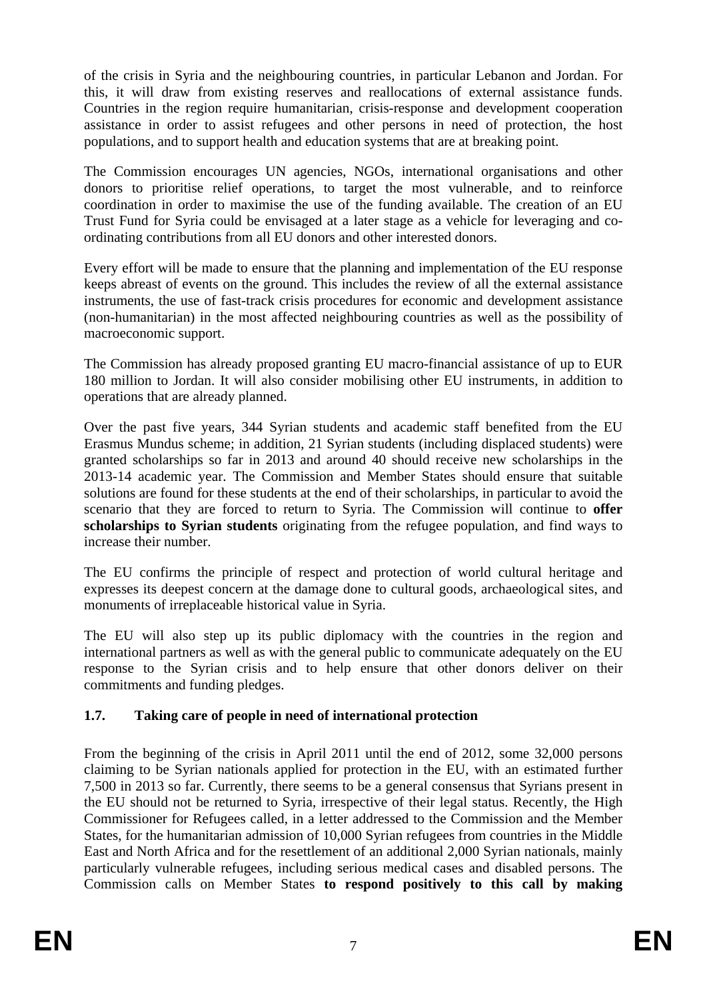of the crisis in Syria and the neighbouring countries, in particular Lebanon and Jordan. For this, it will draw from existing reserves and reallocations of external assistance funds. Countries in the region require humanitarian, crisis-response and development cooperation assistance in order to assist refugees and other persons in need of protection, the host populations, and to support health and education systems that are at breaking point.

The Commission encourages UN agencies, NGOs, international organisations and other donors to prioritise relief operations, to target the most vulnerable, and to reinforce coordination in order to maximise the use of the funding available. The creation of an EU Trust Fund for Syria could be envisaged at a later stage as a vehicle for leveraging and coordinating contributions from all EU donors and other interested donors.

Every effort will be made to ensure that the planning and implementation of the EU response keeps abreast of events on the ground. This includes the review of all the external assistance instruments, the use of fast-track crisis procedures for economic and development assistance (non-humanitarian) in the most affected neighbouring countries as well as the possibility of macroeconomic support.

The Commission has already proposed granting EU macro-financial assistance of up to EUR 180 million to Jordan. It will also consider mobilising other EU instruments, in addition to operations that are already planned.

Over the past five years, 344 Syrian students and academic staff benefited from the EU Erasmus Mundus scheme; in addition, 21 Syrian students (including displaced students) were granted scholarships so far in 2013 and around 40 should receive new scholarships in the 2013-14 academic year. The Commission and Member States should ensure that suitable solutions are found for these students at the end of their scholarships, in particular to avoid the scenario that they are forced to return to Syria. The Commission will continue to **offer scholarships to Syrian students** originating from the refugee population, and find ways to increase their number.

The EU confirms the principle of respect and protection of world cultural heritage and expresses its deepest concern at the damage done to cultural goods, archaeological sites, and monuments of irreplaceable historical value in Syria.

The EU will also step up its public diplomacy with the countries in the region and international partners as well as with the general public to communicate adequately on the EU response to the Syrian crisis and to help ensure that other donors deliver on their commitments and funding pledges.

### **1.7. Taking care of people in need of international protection**

From the beginning of the crisis in April 2011 until the end of 2012, some 32,000 persons claiming to be Syrian nationals applied for protection in the EU, with an estimated further 7,500 in 2013 so far. Currently, there seems to be a general consensus that Syrians present in the EU should not be returned to Syria, irrespective of their legal status. Recently, the High Commissioner for Refugees called, in a letter addressed to the Commission and the Member States, for the humanitarian admission of 10,000 Syrian refugees from countries in the Middle East and North Africa and for the resettlement of an additional 2,000 Syrian nationals, mainly particularly vulnerable refugees, including serious medical cases and disabled persons. The Commission calls on Member States **to respond positively to this call by making**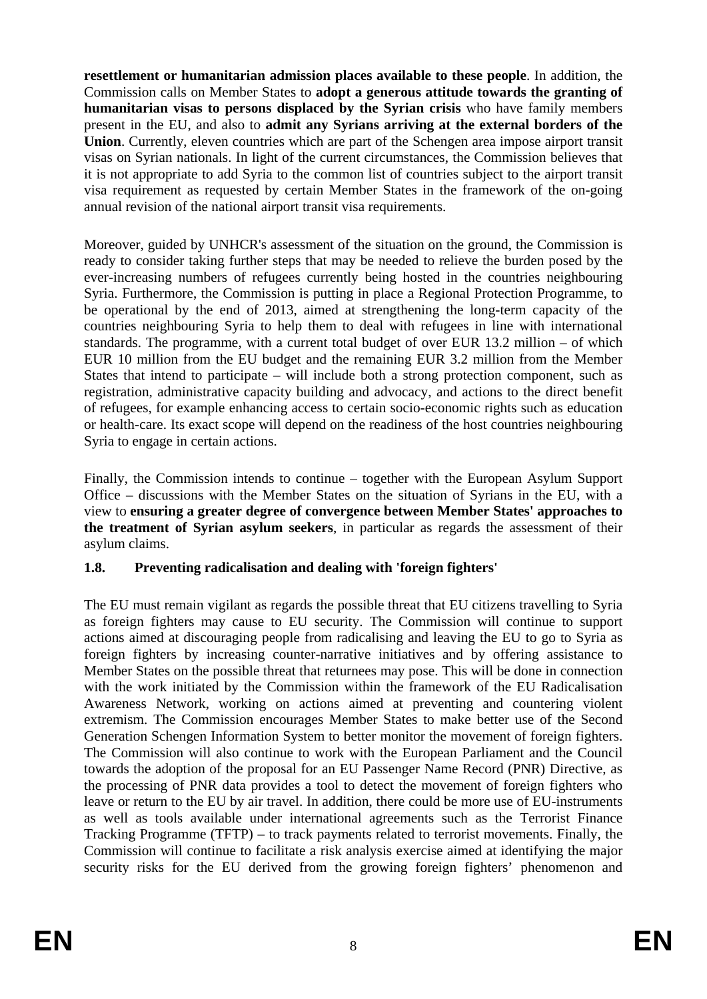**resettlement or humanitarian admission places available to these people**. In addition, the Commission calls on Member States to **adopt a generous attitude towards the granting of humanitarian visas to persons displaced by the Syrian crisis** who have family members present in the EU, and also to **admit any Syrians arriving at the external borders of the Union**. Currently, eleven countries which are part of the Schengen area impose airport transit visas on Syrian nationals. In light of the current circumstances, the Commission believes that it is not appropriate to add Syria to the common list of countries subject to the airport transit visa requirement as requested by certain Member States in the framework of the on-going annual revision of the national airport transit visa requirements.

Moreover, guided by UNHCR's assessment of the situation on the ground, the Commission is ready to consider taking further steps that may be needed to relieve the burden posed by the ever-increasing numbers of refugees currently being hosted in the countries neighbouring Syria. Furthermore, the Commission is putting in place a Regional Protection Programme, to be operational by the end of 2013, aimed at strengthening the long-term capacity of the countries neighbouring Syria to help them to deal with refugees in line with international standards. The programme, with a current total budget of over EUR 13.2 million – of which EUR 10 million from the EU budget and the remaining EUR 3.2 million from the Member States that intend to participate – will include both a strong protection component, such as registration, administrative capacity building and advocacy, and actions to the direct benefit of refugees, for example enhancing access to certain socio-economic rights such as education or health-care. Its exact scope will depend on the readiness of the host countries neighbouring Syria to engage in certain actions.

Finally, the Commission intends to continue – together with the European Asylum Support Office – discussions with the Member States on the situation of Syrians in the EU, with a view to **ensuring a greater degree of convergence between Member States' approaches to the treatment of Syrian asylum seekers**, in particular as regards the assessment of their asylum claims.

### **1.8. Preventing radicalisation and dealing with 'foreign fighters'**

The EU must remain vigilant as regards the possible threat that EU citizens travelling to Syria as foreign fighters may cause to EU security. The Commission will continue to support actions aimed at discouraging people from radicalising and leaving the EU to go to Syria as foreign fighters by increasing counter-narrative initiatives and by offering assistance to Member States on the possible threat that returnees may pose. This will be done in connection with the work initiated by the Commission within the framework of the EU Radicalisation Awareness Network, working on actions aimed at preventing and countering violent extremism. The Commission encourages Member States to make better use of the Second Generation Schengen Information System to better monitor the movement of foreign fighters. The Commission will also continue to work with the European Parliament and the Council towards the adoption of the proposal for an EU Passenger Name Record (PNR) Directive, as the processing of PNR data provides a tool to detect the movement of foreign fighters who leave or return to the EU by air travel. In addition, there could be more use of EU-instruments as well as tools available under international agreements such as the Terrorist Finance Tracking Programme (TFTP) – to track payments related to terrorist movements. Finally, the Commission will continue to facilitate a risk analysis exercise aimed at identifying the major security risks for the EU derived from the growing foreign fighters' phenomenon and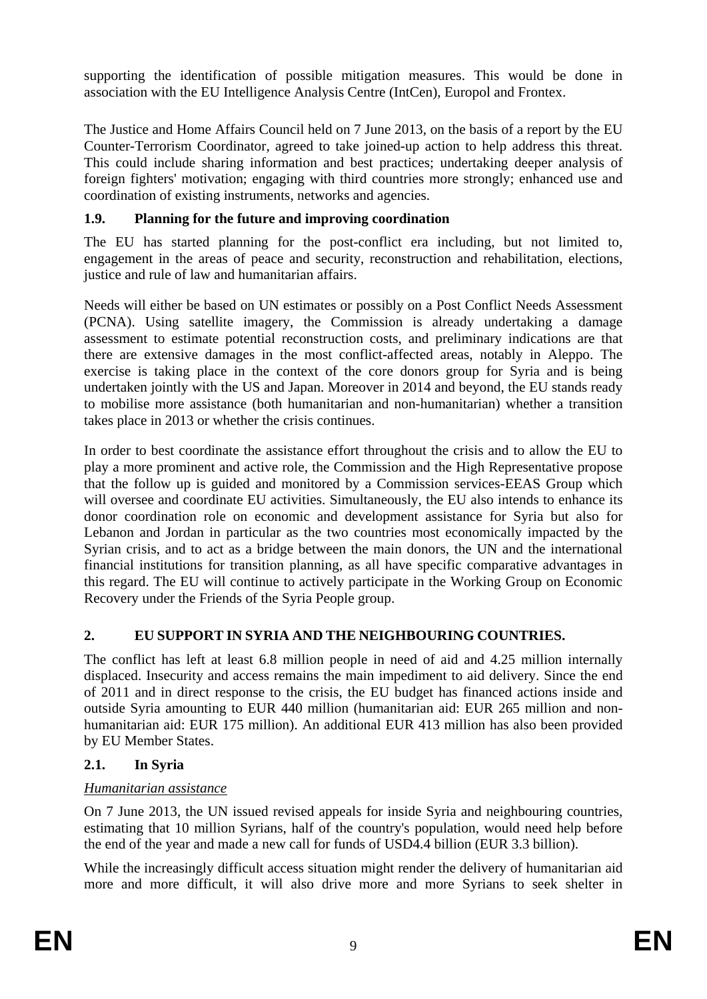supporting the identification of possible mitigation measures. This would be done in association with the EU Intelligence Analysis Centre (IntCen), Europol and Frontex.

The Justice and Home Affairs Council held on 7 June 2013, on the basis of a report by the EU Counter-Terrorism Coordinator, agreed to take joined-up action to help address this threat. This could include sharing information and best practices; undertaking deeper analysis of foreign fighters' motivation; engaging with third countries more strongly; enhanced use and coordination of existing instruments, networks and agencies.

# **1.9. Planning for the future and improving coordination**

The EU has started planning for the post-conflict era including, but not limited to, engagement in the areas of peace and security, reconstruction and rehabilitation, elections, justice and rule of law and humanitarian affairs.

Needs will either be based on UN estimates or possibly on a Post Conflict Needs Assessment (PCNA). Using satellite imagery, the Commission is already undertaking a damage assessment to estimate potential reconstruction costs, and preliminary indications are that there are extensive damages in the most conflict-affected areas, notably in Aleppo. The exercise is taking place in the context of the core donors group for Syria and is being undertaken jointly with the US and Japan. Moreover in 2014 and beyond, the EU stands ready to mobilise more assistance (both humanitarian and non-humanitarian) whether a transition takes place in 2013 or whether the crisis continues.

In order to best coordinate the assistance effort throughout the crisis and to allow the EU to play a more prominent and active role, the Commission and the High Representative propose that the follow up is guided and monitored by a Commission services-EEAS Group which will oversee and coordinate EU activities. Simultaneously, the EU also intends to enhance its donor coordination role on economic and development assistance for Syria but also for Lebanon and Jordan in particular as the two countries most economically impacted by the Syrian crisis, and to act as a bridge between the main donors, the UN and the international financial institutions for transition planning, as all have specific comparative advantages in this regard. The EU will continue to actively participate in the Working Group on Economic Recovery under the Friends of the Syria People group.

### **2. EU SUPPORT IN SYRIA AND THE NEIGHBOURING COUNTRIES.**

The conflict has left at least 6.8 million people in need of aid and 4.25 million internally displaced. Insecurity and access remains the main impediment to aid delivery. Since the end of 2011 and in direct response to the crisis, the EU budget has financed actions inside and outside Syria amounting to EUR 440 million (humanitarian aid: EUR 265 million and nonhumanitarian aid: EUR 175 million). An additional EUR 413 million has also been provided by EU Member States.

### **2.1. In Syria**

### *Humanitarian assistance*

On 7 June 2013, the UN issued revised appeals for inside Syria and neighbouring countries, estimating that 10 million Syrians, half of the country's population, would need help before the end of the year and made a new call for funds of USD4.4 billion (EUR 3.3 billion).

While the increasingly difficult access situation might render the delivery of humanitarian aid more and more difficult, it will also drive more and more Syrians to seek shelter in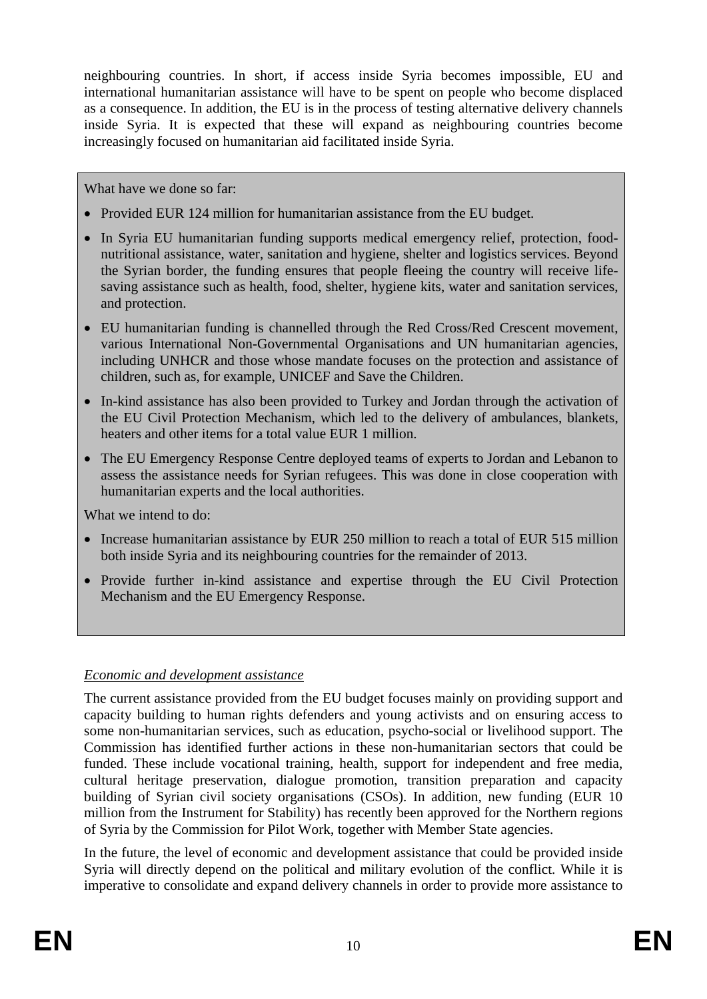neighbouring countries. In short, if access inside Syria becomes impossible, EU and international humanitarian assistance will have to be spent on people who become displaced as a consequence. In addition, the EU is in the process of testing alternative delivery channels inside Syria. It is expected that these will expand as neighbouring countries become increasingly focused on humanitarian aid facilitated inside Syria.

What have we done so far:

- Provided EUR 124 million for humanitarian assistance from the EU budget.
- In Syria EU humanitarian funding supports medical emergency relief, protection, foodnutritional assistance, water, sanitation and hygiene, shelter and logistics services. Beyond the Syrian border, the funding ensures that people fleeing the country will receive lifesaving assistance such as health, food, shelter, hygiene kits, water and sanitation services, and protection.
- EU humanitarian funding is channelled through the Red Cross/Red Crescent movement, various International Non-Governmental Organisations and UN humanitarian agencies, including UNHCR and those whose mandate focuses on the protection and assistance of children, such as, for example, UNICEF and Save the Children.
- In-kind assistance has also been provided to Turkey and Jordan through the activation of the EU Civil Protection Mechanism, which led to the delivery of ambulances, blankets, heaters and other items for a total value EUR 1 million.
- The EU Emergency Response Centre deployed teams of experts to Jordan and Lebanon to assess the assistance needs for Syrian refugees. This was done in close cooperation with humanitarian experts and the local authorities.

What we intend to do:

- Increase humanitarian assistance by EUR 250 million to reach a total of EUR 515 million both inside Syria and its neighbouring countries for the remainder of 2013.
- Provide further in-kind assistance and expertise through the EU Civil Protection Mechanism and the EU Emergency Response.

### *Economic and development assistance*

The current assistance provided from the EU budget focuses mainly on providing support and capacity building to human rights defenders and young activists and on ensuring access to some non-humanitarian services, such as education, psycho-social or livelihood support. The Commission has identified further actions in these non-humanitarian sectors that could be funded. These include vocational training, health, support for independent and free media, cultural heritage preservation, dialogue promotion, transition preparation and capacity building of Syrian civil society organisations (CSOs). In addition, new funding (EUR 10 million from the Instrument for Stability) has recently been approved for the Northern regions of Syria by the Commission for Pilot Work, together with Member State agencies.

In the future, the level of economic and development assistance that could be provided inside Syria will directly depend on the political and military evolution of the conflict. While it is imperative to consolidate and expand delivery channels in order to provide more assistance to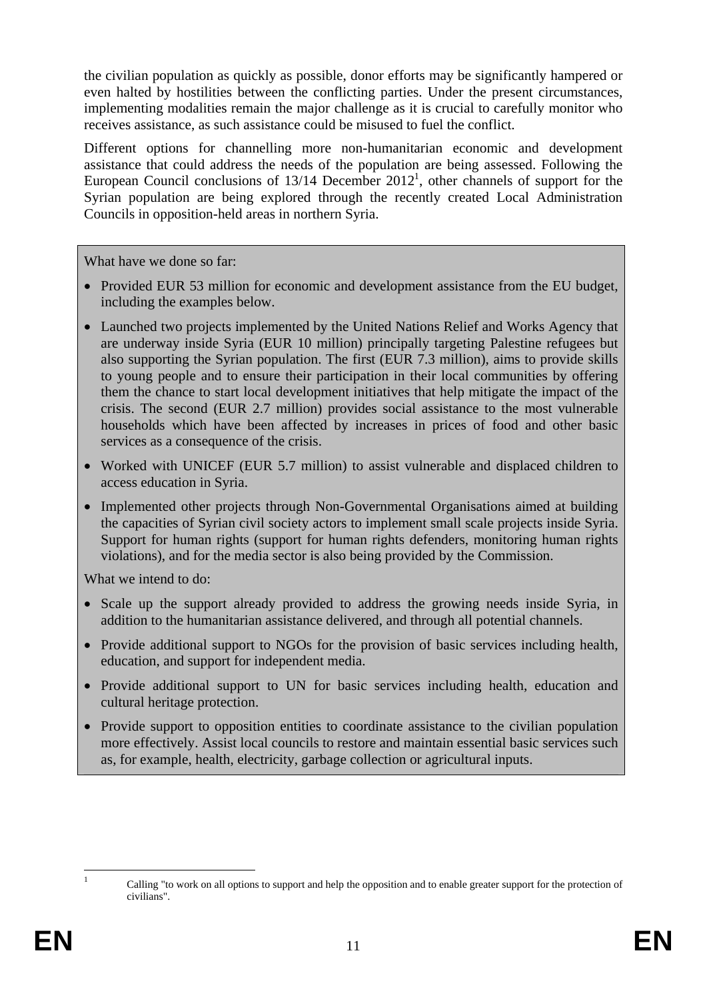the civilian population as quickly as possible, donor efforts may be significantly hampered or even halted by hostilities between the conflicting parties. Under the present circumstances, implementing modalities remain the major challenge as it is crucial to carefully monitor who receives assistance, as such assistance could be misused to fuel the conflict.

Different options for channelling more non-humanitarian economic and development assistance that could address the needs of the population are being assessed. Following the European Council conclusions of  $13/14$  December 2012<sup>1</sup>, other channels of support for the Syrian population are being explored through the recently created Local Administration Councils in opposition-held areas in northern Syria.

What have we done so far:

- Provided EUR 53 million for economic and development assistance from the EU budget, including the examples below.
- Launched two projects implemented by the United Nations Relief and Works Agency that are underway inside Syria (EUR 10 million) principally targeting Palestine refugees but also supporting the Syrian population. The first (EUR 7.3 million), aims to provide skills to young people and to ensure their participation in their local communities by offering them the chance to start local development initiatives that help mitigate the impact of the crisis. The second (EUR 2.7 million) provides social assistance to the most vulnerable households which have been affected by increases in prices of food and other basic services as a consequence of the crisis.
- Worked with UNICEF (EUR 5.7 million) to assist vulnerable and displaced children to access education in Syria.
- Implemented other projects through Non-Governmental Organisations aimed at building the capacities of Syrian civil society actors to implement small scale projects inside Syria. Support for human rights (support for human rights defenders, monitoring human rights violations), and for the media sector is also being provided by the Commission.

What we intend to do:

- Scale up the support already provided to address the growing needs inside Syria, in addition to the humanitarian assistance delivered, and through all potential channels.
- Provide additional support to NGOs for the provision of basic services including health, education, and support for independent media.
- Provide additional support to UN for basic services including health, education and cultural heritage protection.
- Provide support to opposition entities to coordinate assistance to the civilian population more effectively. Assist local councils to restore and maintain essential basic services such as, for example, health, electricity, garbage collection or agricultural inputs.

 $\mathbf{1}$ 

<sup>1</sup> Calling "to work on all options to support and help the opposition and to enable greater support for the protection of civilians".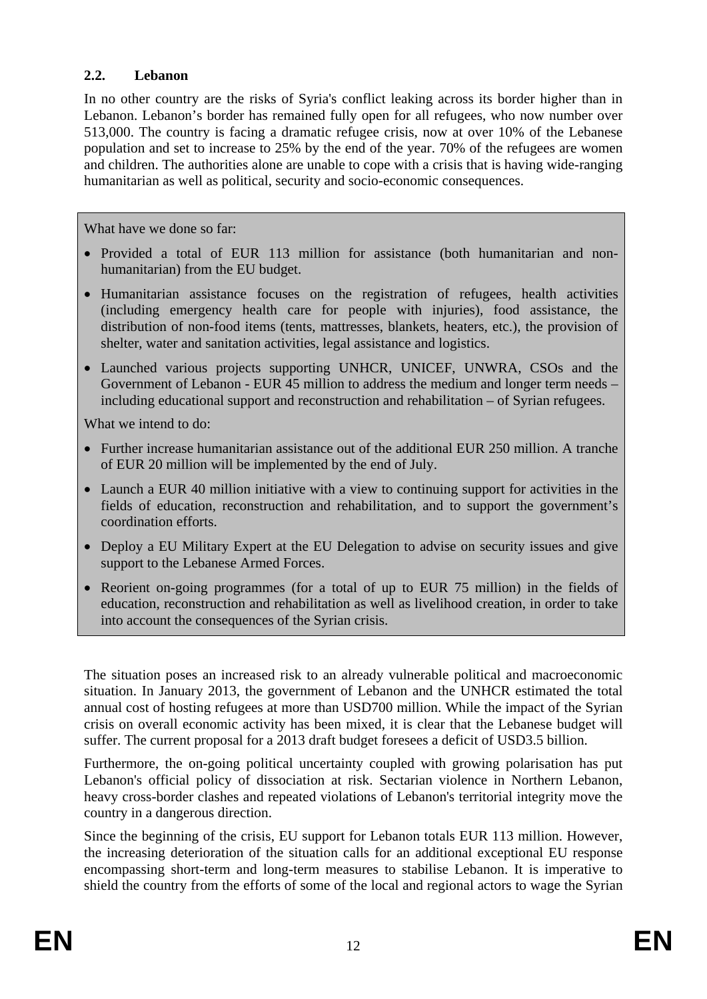### **2.2. Lebanon**

In no other country are the risks of Syria's conflict leaking across its border higher than in Lebanon. Lebanon's border has remained fully open for all refugees, who now number over 513,000. The country is facing a dramatic refugee crisis, now at over 10% of the Lebanese population and set to increase to 25% by the end of the year. 70% of the refugees are women and children. The authorities alone are unable to cope with a crisis that is having wide-ranging humanitarian as well as political, security and socio-economic consequences.

What have we done so far:

- Provided a total of EUR 113 million for assistance (both humanitarian and nonhumanitarian) from the EU budget.
- Humanitarian assistance focuses on the registration of refugees, health activities (including emergency health care for people with injuries), food assistance, the distribution of non-food items (tents, mattresses, blankets, heaters, etc.), the provision of shelter, water and sanitation activities, legal assistance and logistics.
- Launched various projects supporting UNHCR, UNICEF, UNWRA, CSOs and the Government of Lebanon - EUR 45 million to address the medium and longer term needs – including educational support and reconstruction and rehabilitation – of Syrian refugees.

What we intend to do:

- Further increase humanitarian assistance out of the additional EUR 250 million. A tranche of EUR 20 million will be implemented by the end of July.
- Launch a EUR 40 million initiative with a view to continuing support for activities in the fields of education, reconstruction and rehabilitation, and to support the government's coordination efforts.
- Deploy a EU Military Expert at the EU Delegation to advise on security issues and give support to the Lebanese Armed Forces.
- Reorient on-going programmes (for a total of up to EUR 75 million) in the fields of education, reconstruction and rehabilitation as well as livelihood creation, in order to take into account the consequences of the Syrian crisis.

The situation poses an increased risk to an already vulnerable political and macroeconomic situation. In January 2013, the government of Lebanon and the UNHCR estimated the total annual cost of hosting refugees at more than USD700 million. While the impact of the Syrian crisis on overall economic activity has been mixed, it is clear that the Lebanese budget will suffer. The current proposal for a 2013 draft budget foresees a deficit of USD3.5 billion.

Furthermore, the on-going political uncertainty coupled with growing polarisation has put Lebanon's official policy of dissociation at risk. Sectarian violence in Northern Lebanon, heavy cross-border clashes and repeated violations of Lebanon's territorial integrity move the country in a dangerous direction.

Since the beginning of the crisis, EU support for Lebanon totals EUR 113 million. However, the increasing deterioration of the situation calls for an additional exceptional EU response encompassing short-term and long-term measures to stabilise Lebanon. It is imperative to shield the country from the efforts of some of the local and regional actors to wage the Syrian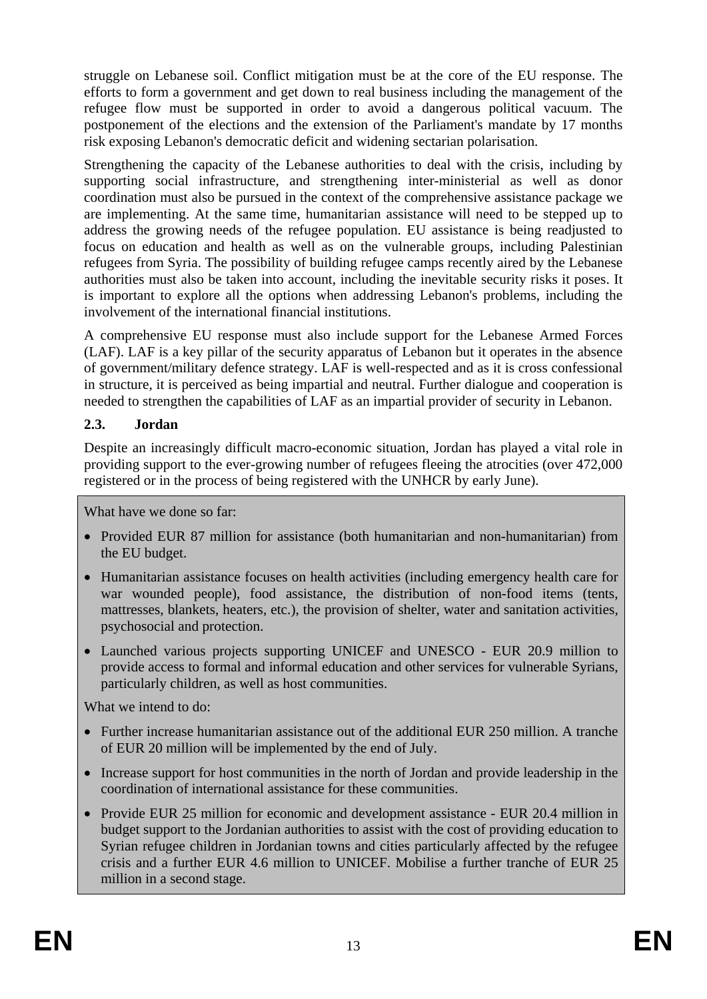struggle on Lebanese soil. Conflict mitigation must be at the core of the EU response. The efforts to form a government and get down to real business including the management of the refugee flow must be supported in order to avoid a dangerous political vacuum. The postponement of the elections and the extension of the Parliament's mandate by 17 months risk exposing Lebanon's democratic deficit and widening sectarian polarisation.

Strengthening the capacity of the Lebanese authorities to deal with the crisis, including by supporting social infrastructure, and strengthening inter-ministerial as well as donor coordination must also be pursued in the context of the comprehensive assistance package we are implementing. At the same time, humanitarian assistance will need to be stepped up to address the growing needs of the refugee population. EU assistance is being readjusted to focus on education and health as well as on the vulnerable groups, including Palestinian refugees from Syria. The possibility of building refugee camps recently aired by the Lebanese authorities must also be taken into account, including the inevitable security risks it poses. It is important to explore all the options when addressing Lebanon's problems, including the involvement of the international financial institutions.

A comprehensive EU response must also include support for the Lebanese Armed Forces (LAF). LAF is a key pillar of the security apparatus of Lebanon but it operates in the absence of government/military defence strategy. LAF is well-respected and as it is cross confessional in structure, it is perceived as being impartial and neutral. Further dialogue and cooperation is needed to strengthen the capabilities of LAF as an impartial provider of security in Lebanon.

# **2.3. Jordan**

Despite an increasingly difficult macro-economic situation, Jordan has played a vital role in providing support to the ever-growing number of refugees fleeing the atrocities (over 472,000 registered or in the process of being registered with the UNHCR by early June).

What have we done so far:

- Provided EUR 87 million for assistance (both humanitarian and non-humanitarian) from the EU budget.
- Humanitarian assistance focuses on health activities (including emergency health care for war wounded people), food assistance, the distribution of non-food items (tents, mattresses, blankets, heaters, etc.), the provision of shelter, water and sanitation activities, psychosocial and protection.
- Launched various projects supporting UNICEF and UNESCO EUR 20.9 million to provide access to formal and informal education and other services for vulnerable Syrians, particularly children, as well as host communities.

What we intend to do:

- Further increase humanitarian assistance out of the additional EUR 250 million. A tranche of EUR 20 million will be implemented by the end of July.
- Increase support for host communities in the north of Jordan and provide leadership in the coordination of international assistance for these communities.
- Provide EUR 25 million for economic and development assistance EUR 20.4 million in budget support to the Jordanian authorities to assist with the cost of providing education to Syrian refugee children in Jordanian towns and cities particularly affected by the refugee crisis and a further EUR 4.6 million to UNICEF. Mobilise a further tranche of EUR 25 million in a second stage.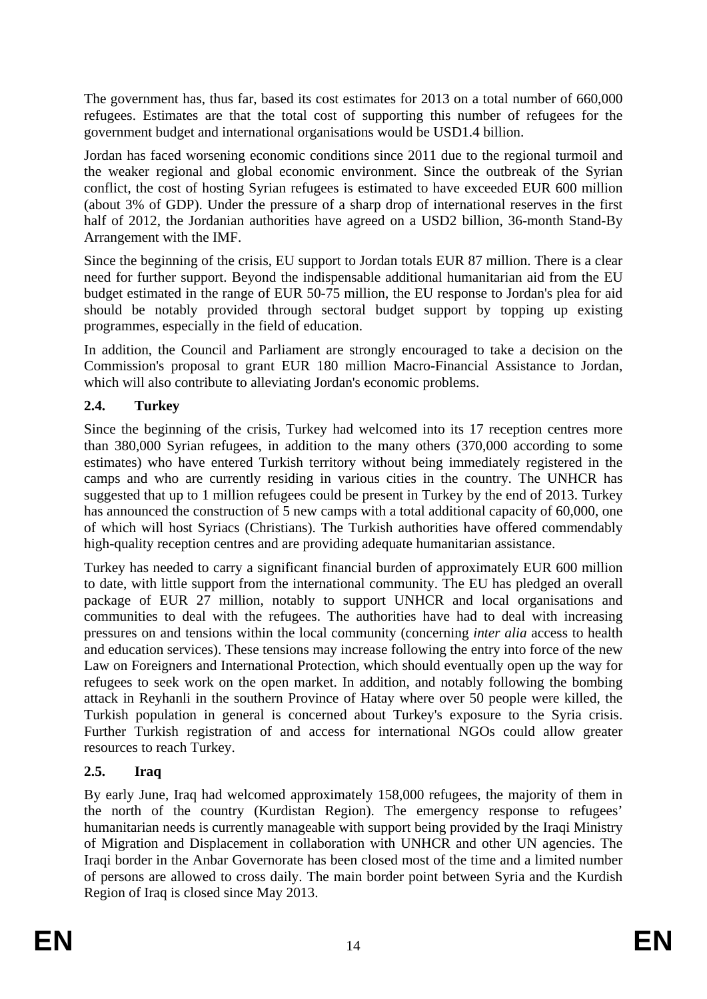The government has, thus far, based its cost estimates for 2013 on a total number of 660,000 refugees. Estimates are that the total cost of supporting this number of refugees for the government budget and international organisations would be USD1.4 billion.

Jordan has faced worsening economic conditions since 2011 due to the regional turmoil and the weaker regional and global economic environment. Since the outbreak of the Syrian conflict, the cost of hosting Syrian refugees is estimated to have exceeded EUR 600 million (about 3% of GDP). Under the pressure of a sharp drop of international reserves in the first half of 2012, the Jordanian authorities have agreed on a USD2 billion, 36-month Stand-By Arrangement with the IMF.

Since the beginning of the crisis, EU support to Jordan totals EUR 87 million. There is a clear need for further support. Beyond the indispensable additional humanitarian aid from the EU budget estimated in the range of EUR 50-75 million, the EU response to Jordan's plea for aid should be notably provided through sectoral budget support by topping up existing programmes, especially in the field of education.

In addition, the Council and Parliament are strongly encouraged to take a decision on the Commission's proposal to grant EUR 180 million Macro-Financial Assistance to Jordan, which will also contribute to alleviating Jordan's economic problems.

# **2.4. Turkey**

Since the beginning of the crisis, Turkey had welcomed into its 17 reception centres more than 380,000 Syrian refugees, in addition to the many others (370,000 according to some estimates) who have entered Turkish territory without being immediately registered in the camps and who are currently residing in various cities in the country. The UNHCR has suggested that up to 1 million refugees could be present in Turkey by the end of 2013. Turkey has announced the construction of 5 new camps with a total additional capacity of 60,000, one of which will host Syriacs (Christians). The Turkish authorities have offered commendably high-quality reception centres and are providing adequate humanitarian assistance.

Turkey has needed to carry a significant financial burden of approximately EUR 600 million to date, with little support from the international community. The EU has pledged an overall package of EUR 27 million, notably to support UNHCR and local organisations and communities to deal with the refugees. The authorities have had to deal with increasing pressures on and tensions within the local community (concerning *inter alia* access to health and education services). These tensions may increase following the entry into force of the new Law on Foreigners and International Protection, which should eventually open up the way for refugees to seek work on the open market. In addition, and notably following the bombing attack in Reyhanli in the southern Province of Hatay where over 50 people were killed, the Turkish population in general is concerned about Turkey's exposure to the Syria crisis. Further Turkish registration of and access for international NGOs could allow greater resources to reach Turkey.

# **2.5. Iraq**

By early June, Iraq had welcomed approximately 158,000 refugees, the majority of them in the north of the country (Kurdistan Region). The emergency response to refugees' humanitarian needs is currently manageable with support being provided by the Iraqi Ministry of Migration and Displacement in collaboration with UNHCR and other UN agencies. The Iraqi border in the Anbar Governorate has been closed most of the time and a limited number of persons are allowed to cross daily. The main border point between Syria and the Kurdish Region of Iraq is closed since May 2013.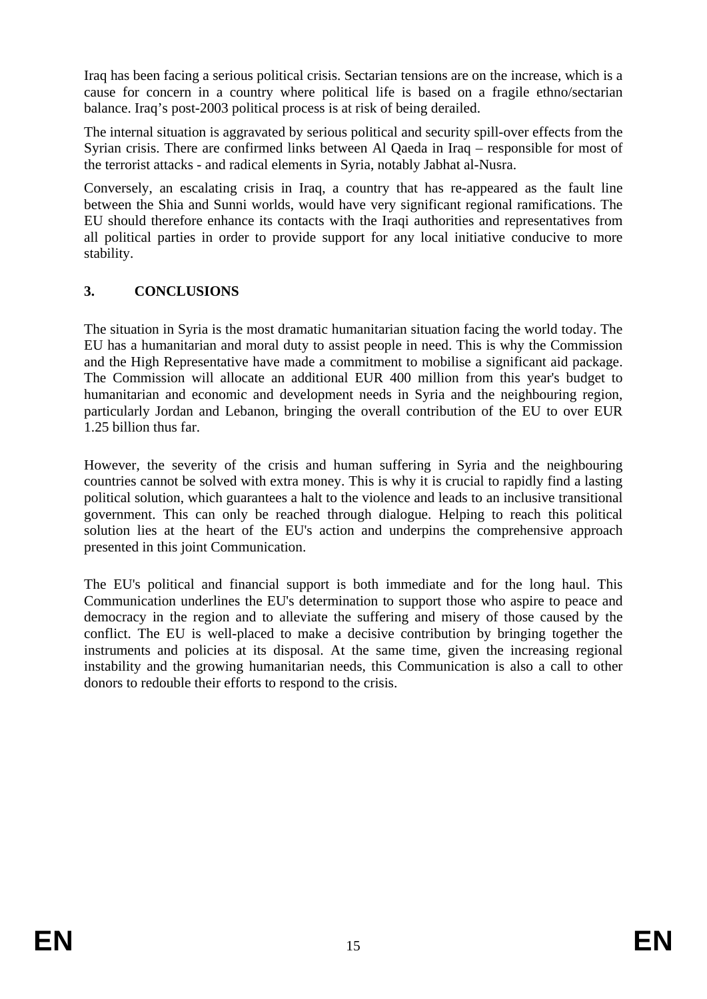Iraq has been facing a serious political crisis. Sectarian tensions are on the increase, which is a cause for concern in a country where political life is based on a fragile ethno/sectarian balance. Iraq's post-2003 political process is at risk of being derailed.

The internal situation is aggravated by serious political and security spill-over effects from the Syrian crisis. There are confirmed links between Al Qaeda in Iraq – responsible for most of the terrorist attacks - and radical elements in Syria, notably Jabhat al-Nusra.

Conversely, an escalating crisis in Iraq, a country that has re-appeared as the fault line between the Shia and Sunni worlds, would have very significant regional ramifications. The EU should therefore enhance its contacts with the Iraqi authorities and representatives from all political parties in order to provide support for any local initiative conducive to more stability.

# **3. CONCLUSIONS**

The situation in Syria is the most dramatic humanitarian situation facing the world today. The EU has a humanitarian and moral duty to assist people in need. This is why the Commission and the High Representative have made a commitment to mobilise a significant aid package. The Commission will allocate an additional EUR 400 million from this year's budget to humanitarian and economic and development needs in Syria and the neighbouring region, particularly Jordan and Lebanon, bringing the overall contribution of the EU to over EUR 1.25 billion thus far.

However, the severity of the crisis and human suffering in Syria and the neighbouring countries cannot be solved with extra money. This is why it is crucial to rapidly find a lasting political solution, which guarantees a halt to the violence and leads to an inclusive transitional government. This can only be reached through dialogue. Helping to reach this political solution lies at the heart of the EU's action and underpins the comprehensive approach presented in this joint Communication.

The EU's political and financial support is both immediate and for the long haul. This Communication underlines the EU's determination to support those who aspire to peace and democracy in the region and to alleviate the suffering and misery of those caused by the conflict. The EU is well-placed to make a decisive contribution by bringing together the instruments and policies at its disposal. At the same time, given the increasing regional instability and the growing humanitarian needs, this Communication is also a call to other donors to redouble their efforts to respond to the crisis.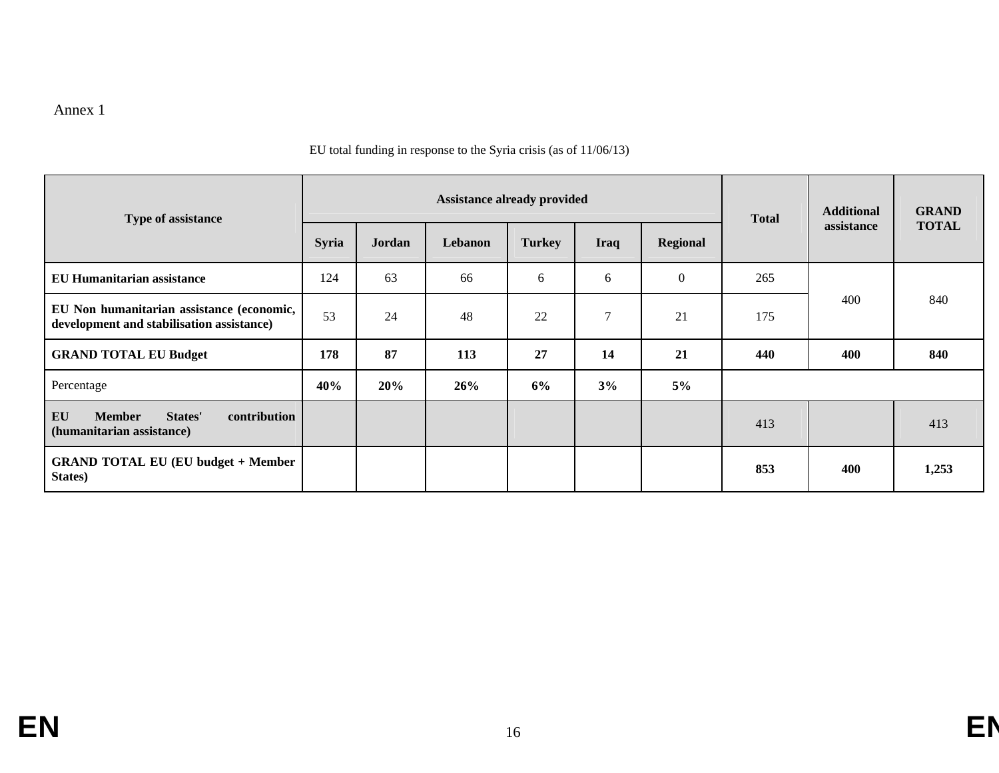#### Annex 1

#### EU total funding in response to the Syria crisis (as of 11/06/13)

| Type of assistance                                                                     | <b>Assistance already provided</b> |        |         |               |             | <b>Total</b> | <b>Additional</b> | <b>GRAND</b> |              |
|----------------------------------------------------------------------------------------|------------------------------------|--------|---------|---------------|-------------|--------------|-------------------|--------------|--------------|
|                                                                                        | <b>Syria</b>                       | Jordan | Lebanon | <b>Turkey</b> | <b>Iraq</b> | Regional     |                   | assistance   | <b>TOTAL</b> |
| <b>EU Humanitarian assistance</b>                                                      | 124                                | 63     | 66      | 6             | 6           | $\theta$     | 265               |              |              |
| EU Non humanitarian assistance (economic,<br>development and stabilisation assistance) | 53                                 | 24     | 48      | 22            | 7           | 21           | 175               | 400          | 840          |
| <b>GRAND TOTAL EU Budget</b>                                                           | 178                                | 87     | 113     | 27            | 14          | 21           | 440               | 400          | 840          |
| Percentage                                                                             | 40%                                | 20%    | 26%     | 6%            | 3%          | $5\%$        |                   |              |              |
| EU<br><b>Member</b><br>contribution<br>States'<br>(humanitarian assistance)            |                                    |        |         |               |             |              | 413               |              | 413          |
| <b>GRAND TOTAL EU (EU budget + Member</b><br>States)                                   |                                    |        |         |               |             |              | 853               | 400          | 1,253        |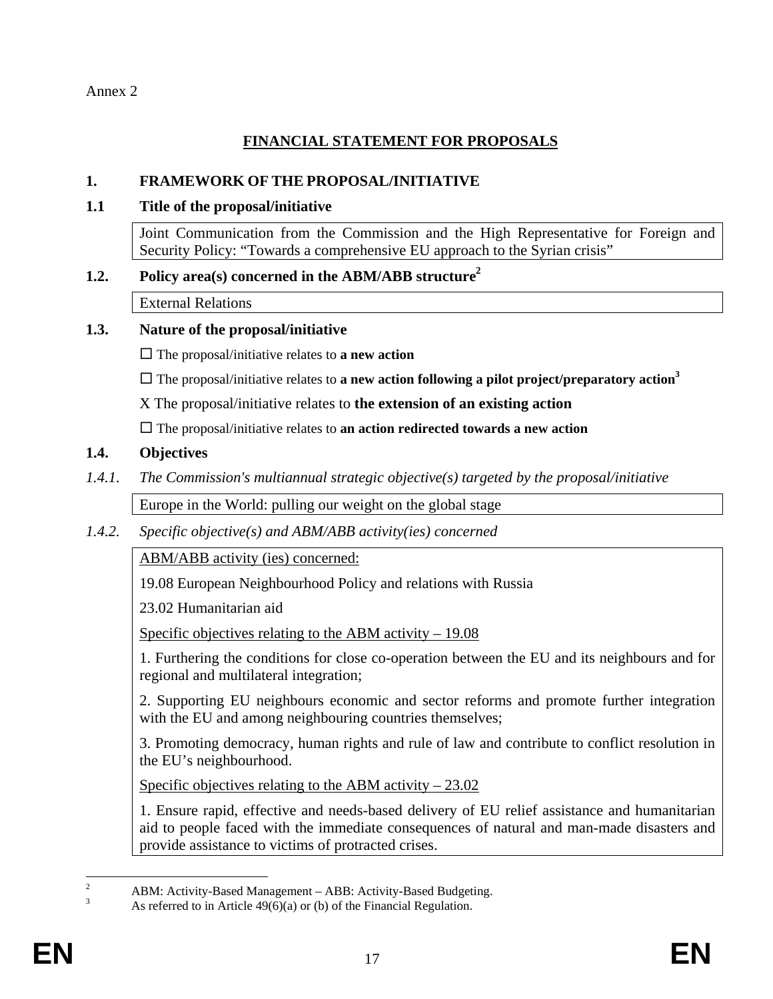Annex 2

# **FINANCIAL STATEMENT FOR PROPOSALS**

#### **1. FRAMEWORK OF THE PROPOSAL/INITIATIVE**

#### **1.1 Title of the proposal/initiative**

Joint Communication from the Commission and the High Representative for Foreign and Security Policy: "Towards a comprehensive EU approach to the Syrian crisis"

### 1.2. Policy area(s) concerned in the ABM/ABB structure<sup>2</sup>

External Relations

#### **1.3. Nature of the proposal/initiative**

 $\Box$  The proposal/initiative relates to **a new action** 

 $\Box$  The proposal/initiative relates to **a new action following a pilot project/preparatory action**<sup>3</sup>

X The proposal/initiative relates to **the extension of an existing action**

The proposal/initiative relates to **an action redirected towards a new action**

#### **1.4. Objectives**

*1.4.1. The Commission's multiannual strategic objective(s) targeted by the proposal/initiative* 

Europe in the World: pulling our weight on the global stage

*1.4.2. Specific objective(s) and ABM/ABB activity(ies) concerned* 

ABM/ABB activity (ies) concerned:

19.08 European Neighbourhood Policy and relations with Russia

23.02 Humanitarian aid

Specific objectives relating to the ABM activity – 19.08

1. Furthering the conditions for close co-operation between the EU and its neighbours and for regional and multilateral integration;

2. Supporting EU neighbours economic and sector reforms and promote further integration with the EU and among neighbouring countries themselves;

3. Promoting democracy, human rights and rule of law and contribute to conflict resolution in the EU's neighbourhood.

Specific objectives relating to the ABM activity – 23.02

1. Ensure rapid, effective and needs-based delivery of EU relief assistance and humanitarian aid to people faced with the immediate consequences of natural and man-made disasters and provide assistance to victims of protracted crises.

 $\frac{1}{2}$ ABM: Activity-Based Management – ABB: Activity-Based Budgeting.

<sup>3</sup> As referred to in Article 49(6)(a) or (b) of the Financial Regulation.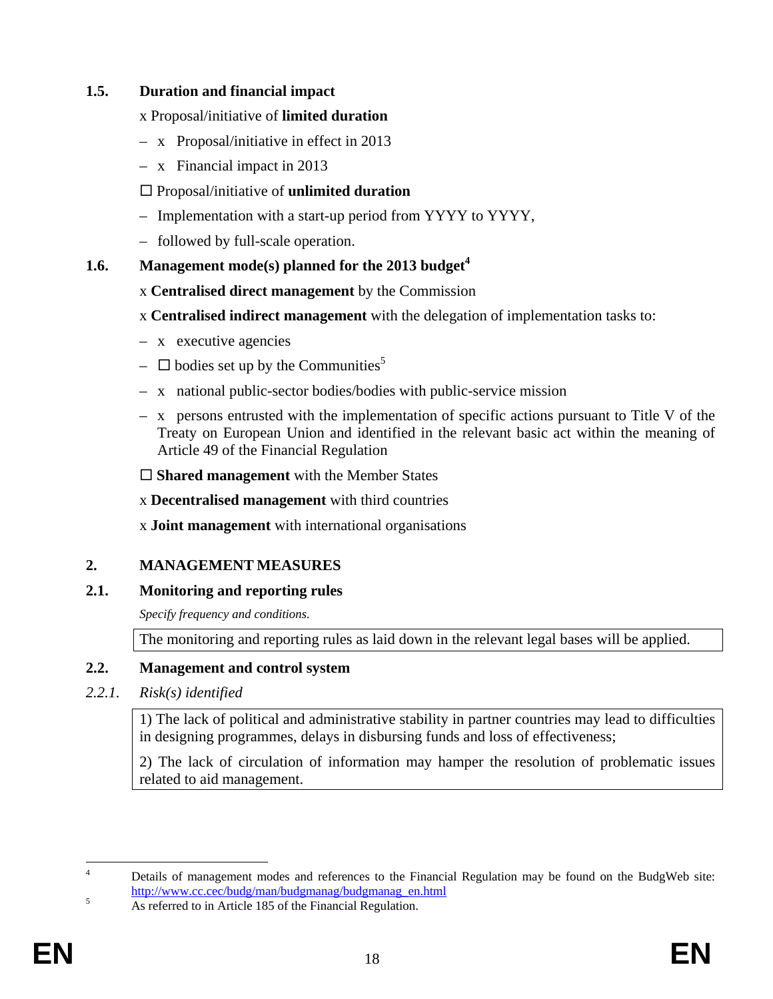### **1.5. Duration and financial impact**

### x Proposal/initiative of **limited duration**

- x Proposal/initiative in effect in 2013
- x Financial impact in 2013

# Proposal/initiative of **unlimited duration**

- Implementation with a start-up period from YYYY to YYYY,
- followed by full-scale operation.

# **1.6.** Management mode(s) planned for the 2013 budget<sup>4</sup>

- x **Centralised direct management** by the Commission
- x **Centralised indirect management** with the delegation of implementation tasks to:
- x executive agencies
- $\Box$  bodies set up by the Communities<sup>5</sup>
- x national public-sector bodies/bodies with public-service mission
- x persons entrusted with the implementation of specific actions pursuant to Title V of the Treaty on European Union and identified in the relevant basic act within the meaning of Article 49 of the Financial Regulation

□ **Shared management** with the Member States

x **Decentralised management** with third countries

x **Joint management** with international organisations

# **2. MANAGEMENT MEASURES**

# **2.1. Monitoring and reporting rules**

*Specify frequency and conditions.* 

The monitoring and reporting rules as laid down in the relevant legal bases will be applied.

# **2.2. Management and control system**

### *2.2.1. Risk(s) identified*

1) The lack of political and administrative stability in partner countries may lead to difficulties in designing programmes, delays in disbursing funds and loss of effectiveness;

2) The lack of circulation of information may hamper the resolution of problematic issues related to aid management.

 $\frac{1}{4}$  Details of management modes and references to the Financial Regulation may be found on the BudgWeb site: [http://www.cc.cec/budg/man/budgmanag/budgmanag\\_en.html](http://www.cc.cec/budg/man/budgmanag/budgmanag_en.html)<br>5 As referred to in Article 185 of the Einencial Pequlation

As referred to in Article 185 of the Financial Regulation.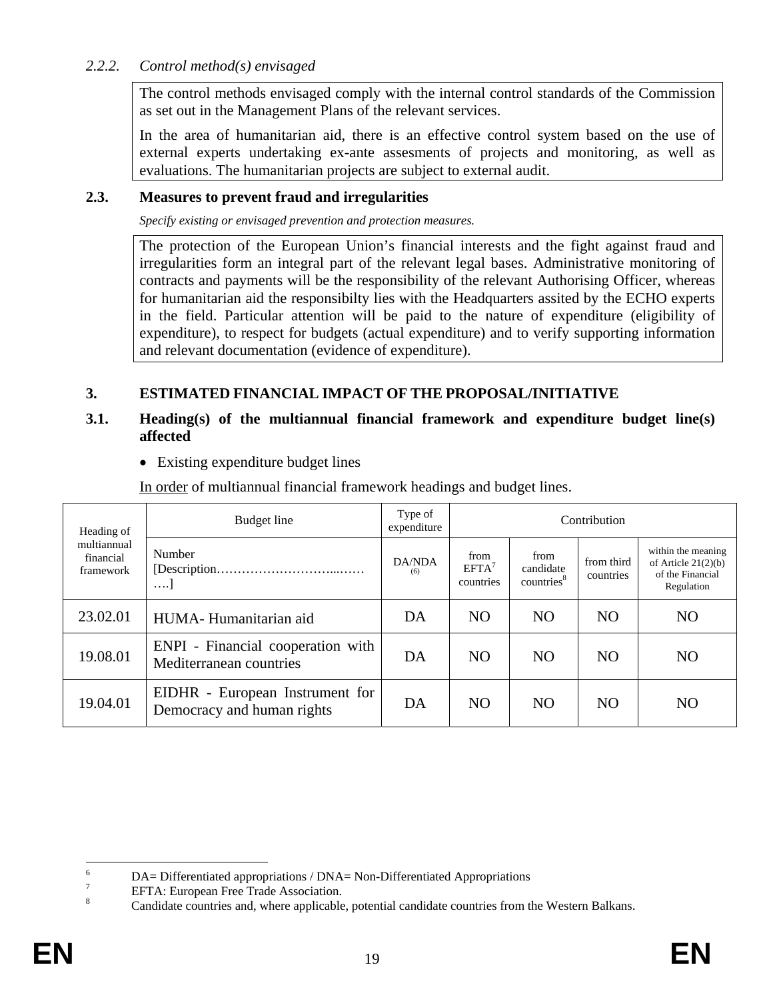### *2.2.2. Control method(s) envisaged*

The control methods envisaged comply with the internal control standards of the Commission as set out in the Management Plans of the relevant services.

In the area of humanitarian aid, there is an effective control system based on the use of external experts undertaking ex-ante assesments of projects and monitoring, as well as evaluations. The humanitarian projects are subject to external audit.

#### **2.3. Measures to prevent fraud and irregularities**

*Specify existing or envisaged prevention and protection measures.* 

The protection of the European Union's financial interests and the fight against fraud and irregularities form an integral part of the relevant legal bases. Administrative monitoring of contracts and payments will be the responsibility of the relevant Authorising Officer, whereas for humanitarian aid the responsibilty lies with the Headquarters assited by the ECHO experts in the field. Particular attention will be paid to the nature of expenditure (eligibility of expenditure), to respect for budgets (actual expenditure) and to verify supporting information and relevant documentation (evidence of expenditure).

# **3. ESTIMATED FINANCIAL IMPACT OF THE PROPOSAL/INITIATIVE**

#### **3.1. Heading(s) of the multiannual financial framework and expenditure budget line(s) affected**

• Existing expenditure budget lines

In order of multiannual financial framework headings and budget lines.

| Heading of                            | Budget line                                                   | Type of<br>expenditure | Contribution                           |                                             |                                                                                                  |                                                                               |  |
|---------------------------------------|---------------------------------------------------------------|------------------------|----------------------------------------|---------------------------------------------|--------------------------------------------------------------------------------------------------|-------------------------------------------------------------------------------|--|
| multiannual<br>financial<br>framework | Number<br>$\cdots$                                            | DA/NDA<br>(6)          | from<br>EFTA <sup>7</sup><br>countries | from<br>candidate<br>countries <sup>8</sup> | from third<br>countries<br>N <sub>O</sub><br>NO <sub>1</sub><br>N <sub>O</sub><br>N <sub>O</sub> | within the meaning<br>of Article $21(2)(b)$<br>of the Financial<br>Regulation |  |
| 23.02.01                              | HUMA-Humanitarian aid                                         | DA                     | <b>NO</b>                              |                                             |                                                                                                  | N <sub>O</sub>                                                                |  |
| 19.08.01                              | ENPI - Financial cooperation with<br>Mediterranean countries  | DA                     | N <sub>O</sub>                         |                                             |                                                                                                  | N <sub>O</sub>                                                                |  |
| 19.04.01                              | EIDHR - European Instrument for<br>Democracy and human rights | DA                     | N <sub>O</sub>                         | <b>NO</b>                                   | N <sub>O</sub>                                                                                   | N <sub>O</sub>                                                                |  |

 6 DA= Differentiated appropriations / DNA= Non-Differentiated Appropriations 7

EFTA: European Free Trade Association.

<sup>8</sup> Candidate countries and, where applicable, potential candidate countries from the Western Balkans.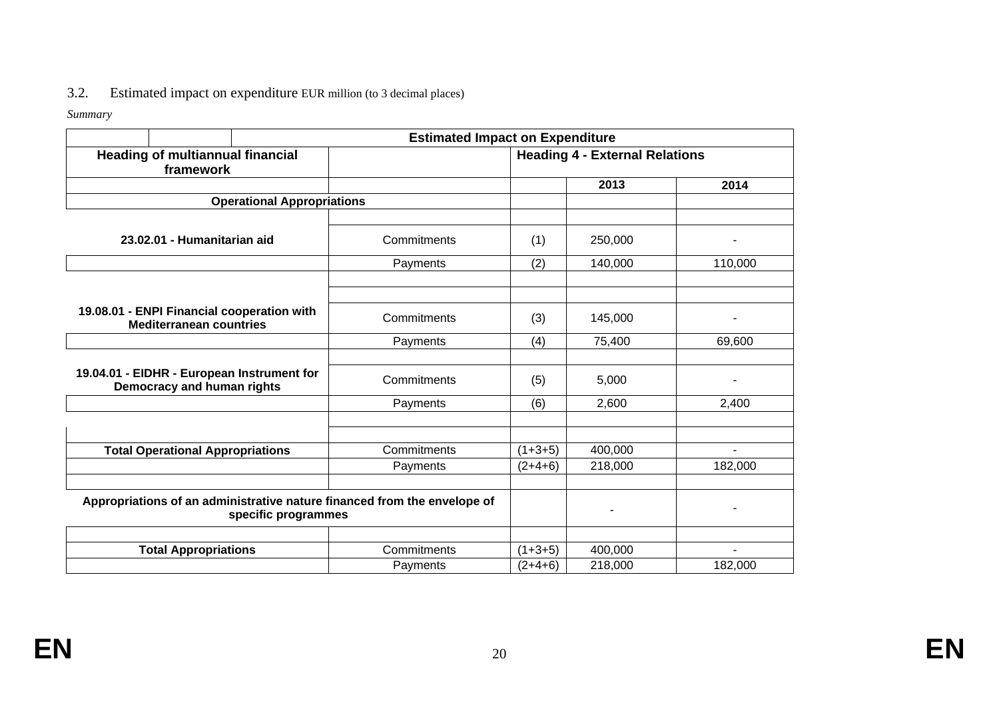# 3.2. Estimated impact on expenditure EUR million (to 3 decimal places)

*Summary* 

|                                                                                                 | <b>Estimated Impact on Expenditure</b> |                                       |         |                |  |  |  |
|-------------------------------------------------------------------------------------------------|----------------------------------------|---------------------------------------|---------|----------------|--|--|--|
| <b>Heading of multiannual financial</b><br>framework                                            |                                        | <b>Heading 4 - External Relations</b> |         |                |  |  |  |
|                                                                                                 |                                        |                                       | 2013    | 2014           |  |  |  |
| <b>Operational Appropriations</b>                                                               |                                        |                                       |         |                |  |  |  |
|                                                                                                 |                                        |                                       |         |                |  |  |  |
| 23.02.01 - Humanitarian aid                                                                     | Commitments                            | (1)                                   | 250,000 |                |  |  |  |
|                                                                                                 | Payments                               | (2)                                   | 140,000 | 110,000        |  |  |  |
|                                                                                                 |                                        |                                       |         |                |  |  |  |
|                                                                                                 |                                        |                                       |         |                |  |  |  |
| 19.08.01 - ENPI Financial cooperation with<br><b>Mediterranean countries</b>                    | Commitments                            | (3)                                   | 145,000 |                |  |  |  |
|                                                                                                 | Payments                               | (4)                                   | 75,400  | 69,600         |  |  |  |
|                                                                                                 |                                        |                                       |         |                |  |  |  |
| 19.04.01 - EIDHR - European Instrument for<br>Democracy and human rights                        | Commitments                            | (5)                                   | 5,000   | ۰              |  |  |  |
|                                                                                                 | Payments                               | (6)                                   | 2,600   | 2,400          |  |  |  |
|                                                                                                 |                                        |                                       |         |                |  |  |  |
|                                                                                                 |                                        |                                       |         |                |  |  |  |
| <b>Total Operational Appropriations</b>                                                         | Commitments                            | $(1+3+5)$                             | 400,000 | $\blacksquare$ |  |  |  |
|                                                                                                 | Payments                               | $(2+4+6)$                             | 218,000 | 182,000        |  |  |  |
|                                                                                                 |                                        |                                       |         |                |  |  |  |
| Appropriations of an administrative nature financed from the envelope of<br>specific programmes |                                        |                                       |         |                |  |  |  |
|                                                                                                 |                                        |                                       |         |                |  |  |  |
| <b>Total Appropriations</b>                                                                     | Commitments                            | $(1+3+5)$                             | 400,000 |                |  |  |  |
|                                                                                                 | Payments                               | $(2+4+6)$                             | 218,000 | 182,000        |  |  |  |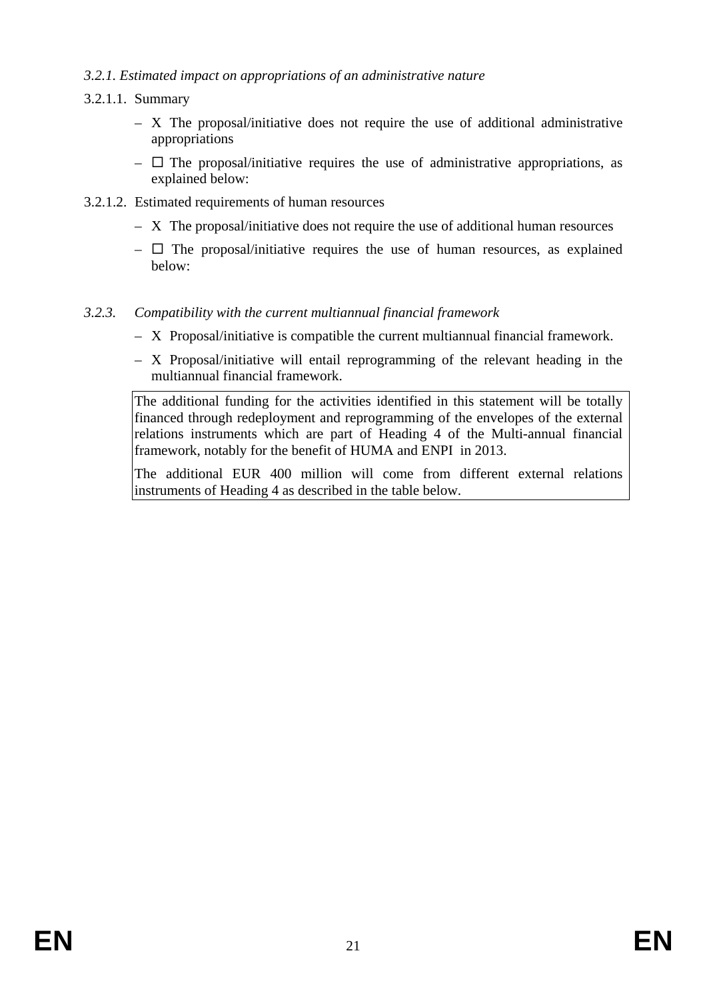#### *3.2.1. Estimated impact on appropriations of an administrative nature*

#### 3.2.1.1. Summary

- X The proposal/initiative does not require the use of additional administrative appropriations
- $\Box$  The proposal/initiative requires the use of administrative appropriations, as explained below:
- 3.2.1.2. Estimated requirements of human resources
	- X The proposal/initiative does not require the use of additional human resources
	- $\Box$  The proposal/initiative requires the use of human resources, as explained below:

#### *3.2.3. Compatibility with the current multiannual financial framework*

- X Proposal/initiative is compatible the current multiannual financial framework.
- X Proposal/initiative will entail reprogramming of the relevant heading in the multiannual financial framework.

The additional funding for the activities identified in this statement will be totally financed through redeployment and reprogramming of the envelopes of the external relations instruments which are part of Heading 4 of the Multi-annual financial framework, notably for the benefit of HUMA and ENPI in 2013.

The additional EUR 400 million will come from different external relations instruments of Heading 4 as described in the table below.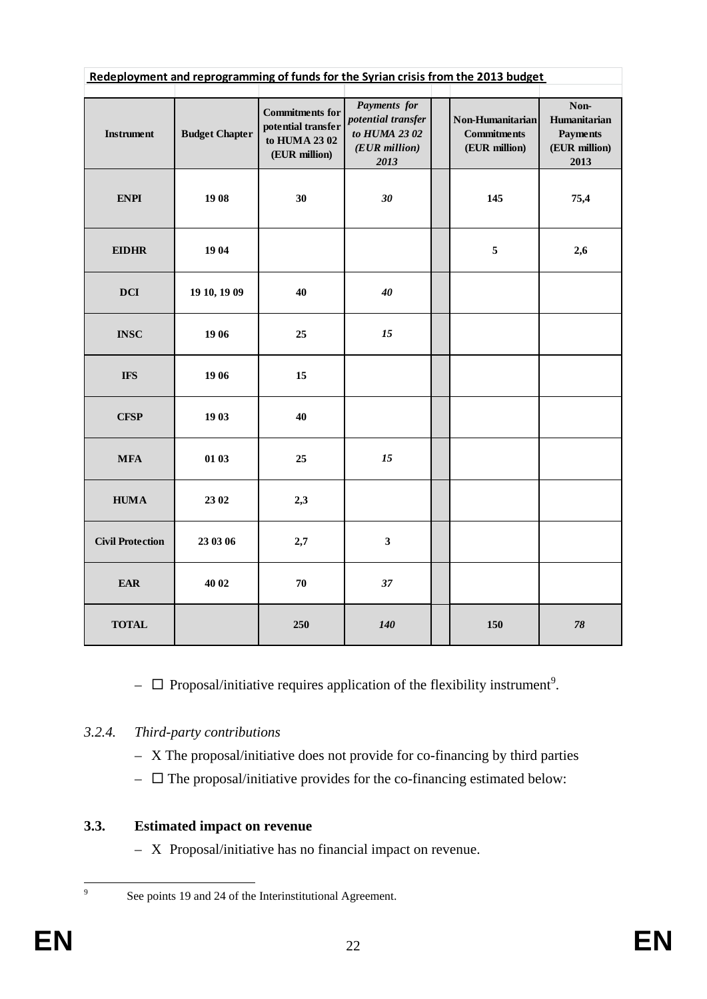| Redeployment and reprogramming of funds for the Syrian crisis from the 2013 budget |                       |                                                                               |                                                                                                                                         |  |                                                                  |        |  |  |
|------------------------------------------------------------------------------------|-----------------------|-------------------------------------------------------------------------------|-----------------------------------------------------------------------------------------------------------------------------------------|--|------------------------------------------------------------------|--------|--|--|
| <b>Instrument</b>                                                                  | <b>Budget Chapter</b> | <b>Commitments for</b><br>potential transfer<br>to HUMA 2302<br>(EUR million) | Payments for<br>Non-Humanitarian<br>potential transfer<br>to HUMA 23 02<br><b>Commitments</b><br>(EUR million)<br>(EUR million)<br>2013 |  | Non-<br>Humanitarian<br><b>Payments</b><br>(EUR million)<br>2013 |        |  |  |
| <b>ENPI</b>                                                                        | 1908                  | 30<br>$30\,$                                                                  |                                                                                                                                         |  | 145                                                              | 75,4   |  |  |
| <b>EIDHR</b>                                                                       | 19 04                 |                                                                               |                                                                                                                                         |  | 5                                                                | 2,6    |  |  |
| $\overline{\mathbf{D}\mathbf{C}\mathbf{I}}$                                        | 19 10, 19 09          | 40                                                                            | 40                                                                                                                                      |  |                                                                  |        |  |  |
| <b>INSC</b>                                                                        | 19 06                 | 25                                                                            | 15                                                                                                                                      |  |                                                                  |        |  |  |
| <b>IFS</b>                                                                         | 19 06                 | 15                                                                            |                                                                                                                                         |  |                                                                  |        |  |  |
| <b>CFSP</b>                                                                        | 19 03                 | 40                                                                            |                                                                                                                                         |  |                                                                  |        |  |  |
| $\ensuremath{\mathbf{MFA}}$                                                        | 01 03                 | 25                                                                            | $15\,$                                                                                                                                  |  |                                                                  |        |  |  |
| ${\bf HUMA}$                                                                       | 23 02                 | 2,3                                                                           |                                                                                                                                         |  |                                                                  |        |  |  |
| <b>Civil Protection</b>                                                            | 23 03 06              | 2,7                                                                           | $\mathbf{3}$                                                                                                                            |  |                                                                  |        |  |  |
| <b>EAR</b>                                                                         | 40 02                 | 70                                                                            | 37                                                                                                                                      |  |                                                                  |        |  |  |
| <b>TOTAL</b>                                                                       |                       | 250                                                                           | 140                                                                                                                                     |  | 150                                                              | $78\,$ |  |  |

-  $\Box$  Proposal/initiative requires application of the flexibility instrument<sup>9</sup>.

# *3.2.4. Third-party contributions*

- X The proposal/initiative does not provide for co-financing by third parties
- $\Box$  The proposal/initiative provides for the co-financing estimated below:

# **3.3. Estimated impact on revenue**

– X Proposal/initiative has no financial impact on revenue.

-<br>9

See points 19 and 24 of the Interinstitutional Agreement.